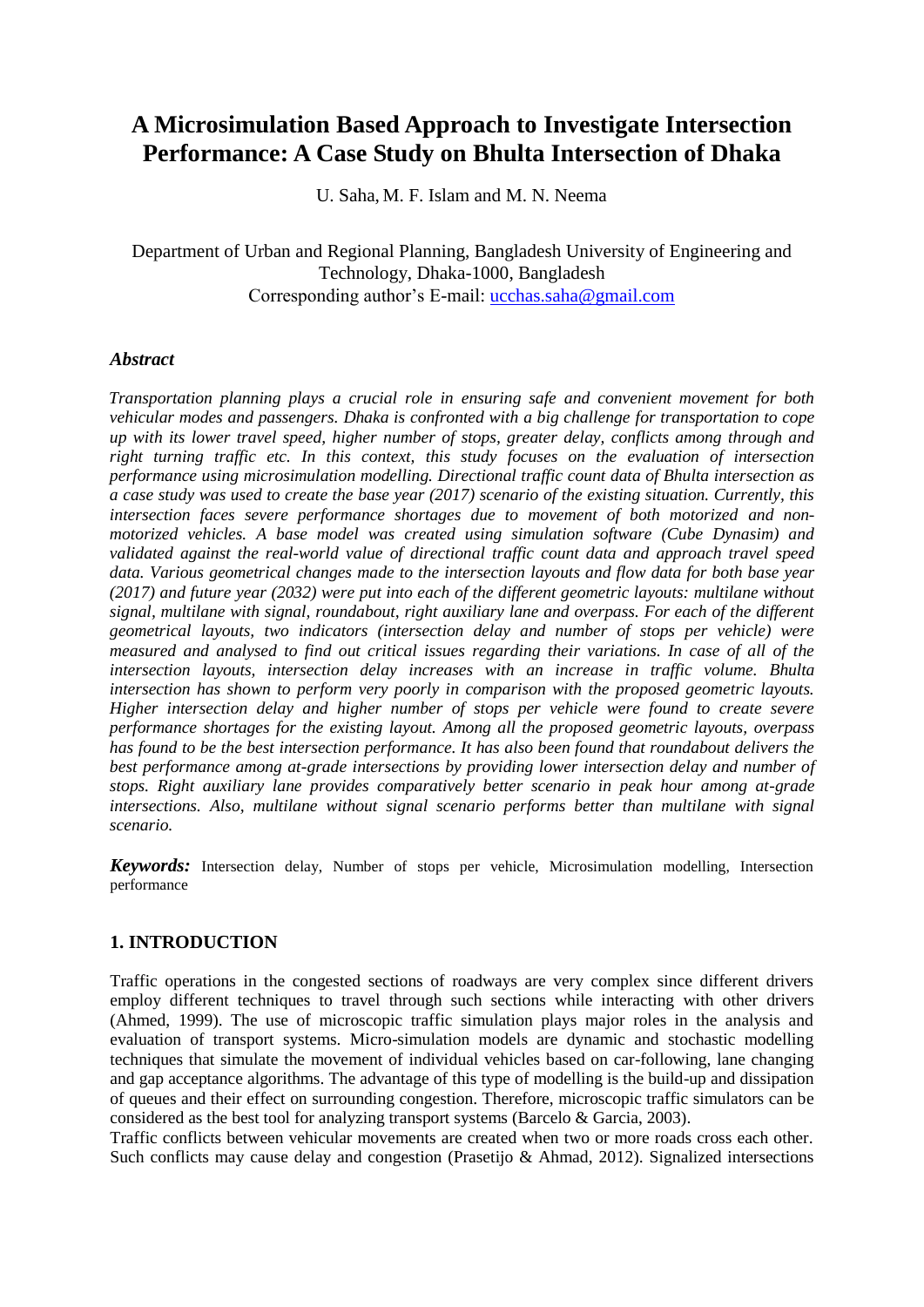# **A Microsimulation Based Approach to Investigate Intersection Performance: A Case Study on Bhulta Intersection of Dhaka**

U. Saha, M. F. Islam and M. N. Neema

Department of Urban and Regional Planning, Bangladesh University of Engineering and Technology, Dhaka-1000, Bangladesh Corresponding author's E-mail: ucchas.saha@gmail.com

#### *Abstract*

*Transportation planning plays a crucial role in ensuring safe and convenient movement for both vehicular modes and passengers. Dhaka is confronted with a big challenge for transportation to cope up with its lower travel speed, higher number of stops, greater delay, conflicts among through and right turning traffic etc. In this context, this study focuses on the evaluation of intersection performance using microsimulation modelling. Directional traffic count data of Bhulta intersection as a case study was used to create the base year (2017) scenario of the existing situation. Currently, this intersection faces severe performance shortages due to movement of both motorized and nonmotorized vehicles. A base model was created using simulation software (Cube Dynasim) and validated against the real-world value of directional traffic count data and approach travel speed data. Various geometrical changes made to the intersection layouts and flow data for both base year (2017) and future year (2032) were put into each of the different geometric layouts: multilane without signal, multilane with signal, roundabout, right auxiliary lane and overpass. For each of the different geometrical layouts, two indicators (intersection delay and number of stops per vehicle) were measured and analysed to find out critical issues regarding their variations. In case of all of the intersection layouts, intersection delay increases with an increase in traffic volume. Bhulta intersection has shown to perform very poorly in comparison with the proposed geometric layouts. Higher intersection delay and higher number of stops per vehicle were found to create severe performance shortages for the existing layout. Among all the proposed geometric layouts, overpass has found to be the best intersection performance. It has also been found that roundabout delivers the best performance among at-grade intersections by providing lower intersection delay and number of stops. Right auxiliary lane provides comparatively better scenario in peak hour among at-grade intersections. Also, multilane without signal scenario performs better than multilane with signal scenario.* 

*Keywords:* Intersection delay, Number of stops per vehicle, Microsimulation modelling, Intersection performance

## **1. INTRODUCTION**

Traffic operations in the congested sections of roadways are very complex since different drivers employ different techniques to travel through such sections while interacting with other drivers (Ahmed, 1999). The use of microscopic traffic simulation plays major roles in the analysis and evaluation of transport systems. Micro-simulation models are dynamic and stochastic modelling techniques that simulate the movement of individual vehicles based on car-following, lane changing and gap acceptance algorithms. The advantage of this type of modelling is the build-up and dissipation of queues and their effect on surrounding congestion. Therefore, microscopic traffic simulators can be considered as the best tool for analyzing transport systems (Barcelo & Garcia, 2003).

Traffic conflicts between vehicular movements are created when two or more roads cross each other. Such conflicts may cause delay and congestion (Prasetijo & Ahmad, 2012). Signalized intersections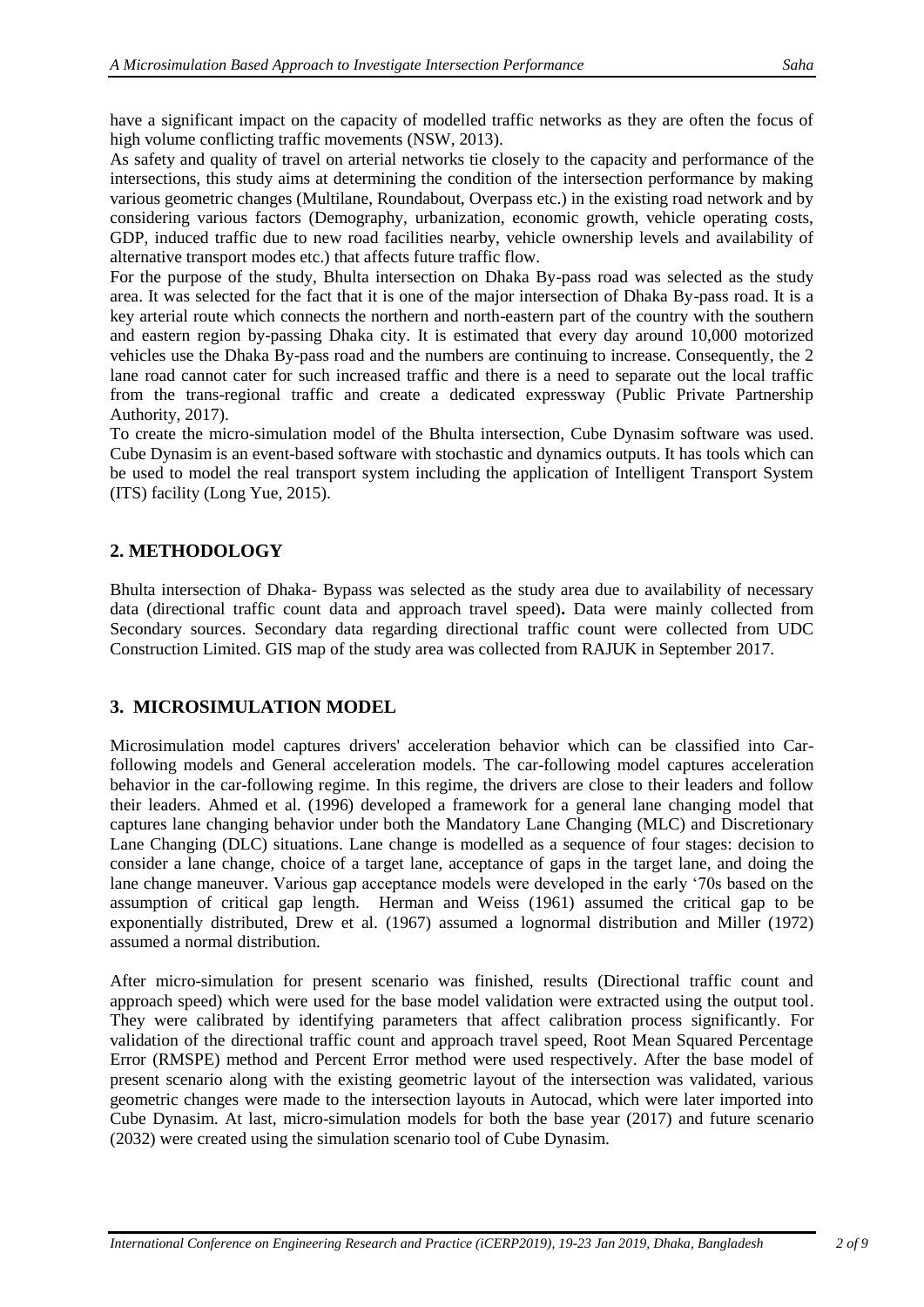have a significant impact on the capacity of modelled traffic networks as they are often the focus of high volume conflicting traffic movements (NSW, 2013).

As safety and quality of travel on arterial networks tie closely to the capacity and performance of the intersections, this study aims at determining the condition of the intersection performance by making various geometric changes (Multilane, Roundabout, Overpass etc.) in the existing road network and by considering various factors (Demography, urbanization, economic growth, vehicle operating costs, GDP, induced traffic due to new road facilities nearby, vehicle ownership levels and availability of alternative transport modes etc.) that affects future traffic flow.

For the purpose of the study, Bhulta intersection on Dhaka By-pass road was selected as the study area. It was selected for the fact that it is one of the major intersection of Dhaka By-pass road. It is a key arterial route which connects the northern and north-eastern part of the country with the southern and eastern region by-passing Dhaka city. It is estimated that every day around 10,000 motorized vehicles use the Dhaka By-pass road and the numbers are continuing to increase. Consequently, the 2 lane road cannot cater for such increased traffic and there is a need to separate out the local traffic from the trans-regional traffic and create a dedicated expressway (Public Private Partnership Authority, 2017).

To create the micro-simulation model of the Bhulta intersection, Cube Dynasim software was used. Cube Dynasim is an event-based software with stochastic and dynamics outputs. It has tools which can be used to model the real transport system including the application of Intelligent Transport System (ITS) facility (Long Yue, 2015).

# **2. METHODOLOGY**

Bhulta intersection of Dhaka- Bypass was selected as the study area due to availability of necessary data (directional traffic count data and approach travel speed)**.** Data were mainly collected from Secondary sources. Secondary data regarding directional traffic count were collected from UDC Construction Limited. GIS map of the study area was collected from RAJUK in September 2017.

# **3. MICROSIMULATION MODEL**

Microsimulation model captures drivers' acceleration behavior which can be classified into Carfollowing models and General acceleration models. The car-following model captures acceleration behavior in the car-following regime. In this regime, the drivers are close to their leaders and follow their leaders. Ahmed et al. (1996) developed a framework for a general lane changing model that captures lane changing behavior under both the Mandatory Lane Changing (MLC) and Discretionary Lane Changing (DLC) situations. Lane change is modelled as a sequence of four stages: decision to consider a lane change, choice of a target lane, acceptance of gaps in the target lane, and doing the lane change maneuver. Various gap acceptance models were developed in the early '70s based on the assumption of critical gap length. Herman and Weiss (1961) assumed the critical gap to be exponentially distributed, Drew et al. (1967) assumed a lognormal distribution and Miller (1972) assumed a normal distribution.

After micro-simulation for present scenario was finished, results (Directional traffic count and approach speed) which were used for the base model validation were extracted using the output tool. They were calibrated by identifying parameters that affect calibration process significantly. For validation of the directional traffic count and approach travel speed, Root Mean Squared Percentage Error (RMSPE) method and Percent Error method were used respectively. After the base model of present scenario along with the existing geometric layout of the intersection was validated, various geometric changes were made to the intersection layouts in Autocad, which were later imported into Cube Dynasim. At last, micro-simulation models for both the base year (2017) and future scenario (2032) were created using the simulation scenario tool of Cube Dynasim.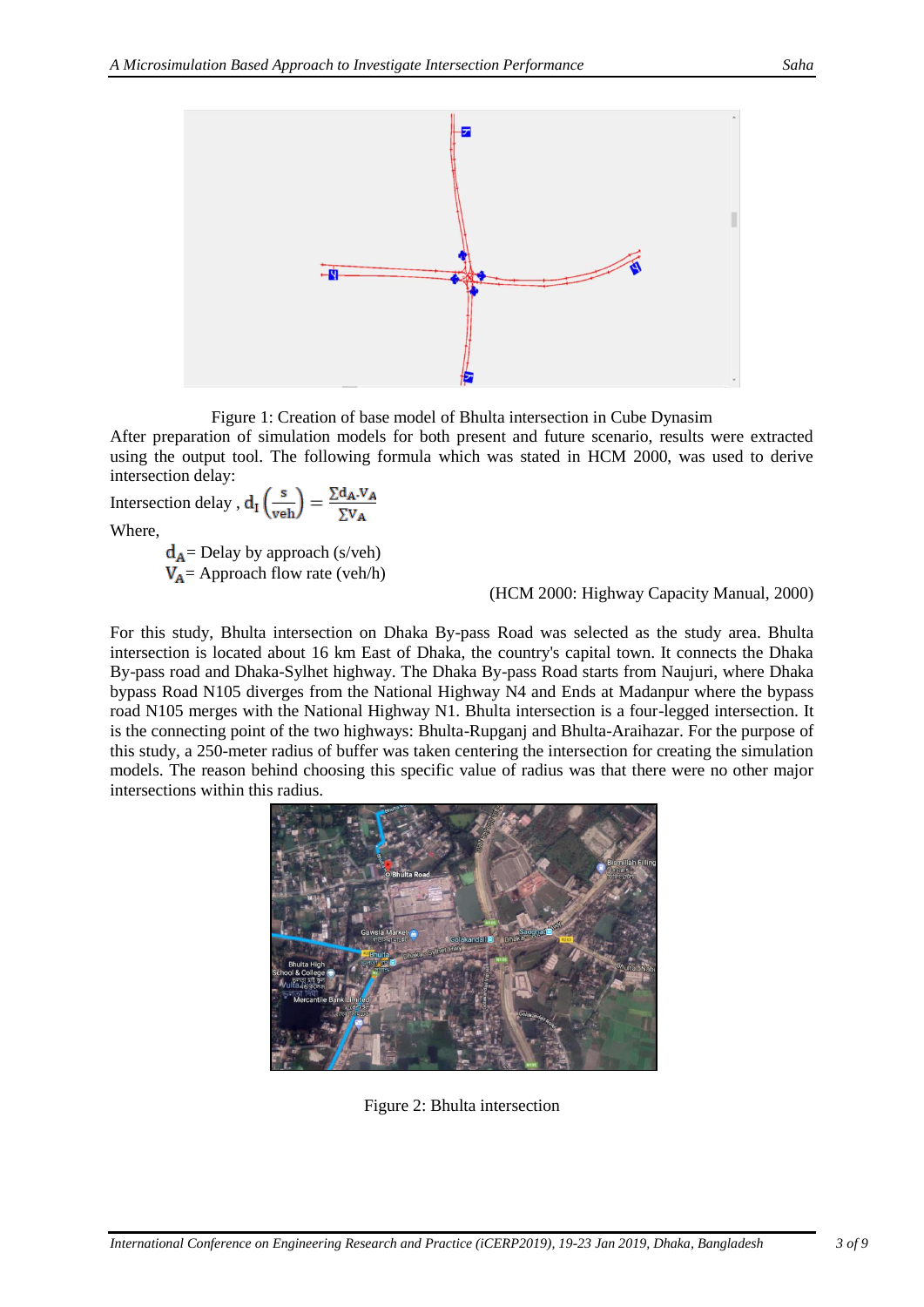

Figure 1: Creation of base model of Bhulta intersection in Cube Dynasim

After preparation of simulation models for both present and future scenario, results were extracted using the output tool. The following formula which was stated in HCM 2000, was used to derive intersection delay:

Intersection delay, 
$$
d_I \left( \frac{s}{veh} \right) = \frac{\sum d_A.V_A}{\sum V_A}
$$
  
Where,  
 $d = \text{Delay by approach} (s/veh)$ 

 $d_A$ = Delay by approach (s/veh)  $V_A$  = Approach flow rate (veh/h)

(HCM 2000: Highway Capacity Manual, 2000)

For this study, Bhulta intersection on Dhaka By-pass Road was selected as the study area. Bhulta intersection is located about 16 km East of Dhaka, the country's capital town. It connects the Dhaka By-pass road and Dhaka-Sylhet highway. The Dhaka By-pass Road starts from Naujuri, where Dhaka bypass Road N105 diverges from the National Highway N4 and Ends at Madanpur where the bypass road N105 merges with the National Highway N1. Bhulta intersection is a four-legged intersection. It is the connecting point of the two highways: Bhulta-Rupganj and Bhulta-Araihazar. For the purpose of this study, a 250-meter radius of buffer was taken centering the intersection for creating the simulation models. The reason behind choosing this specific value of radius was that there were no other major intersections within this radius.



Figure 2: Bhulta intersection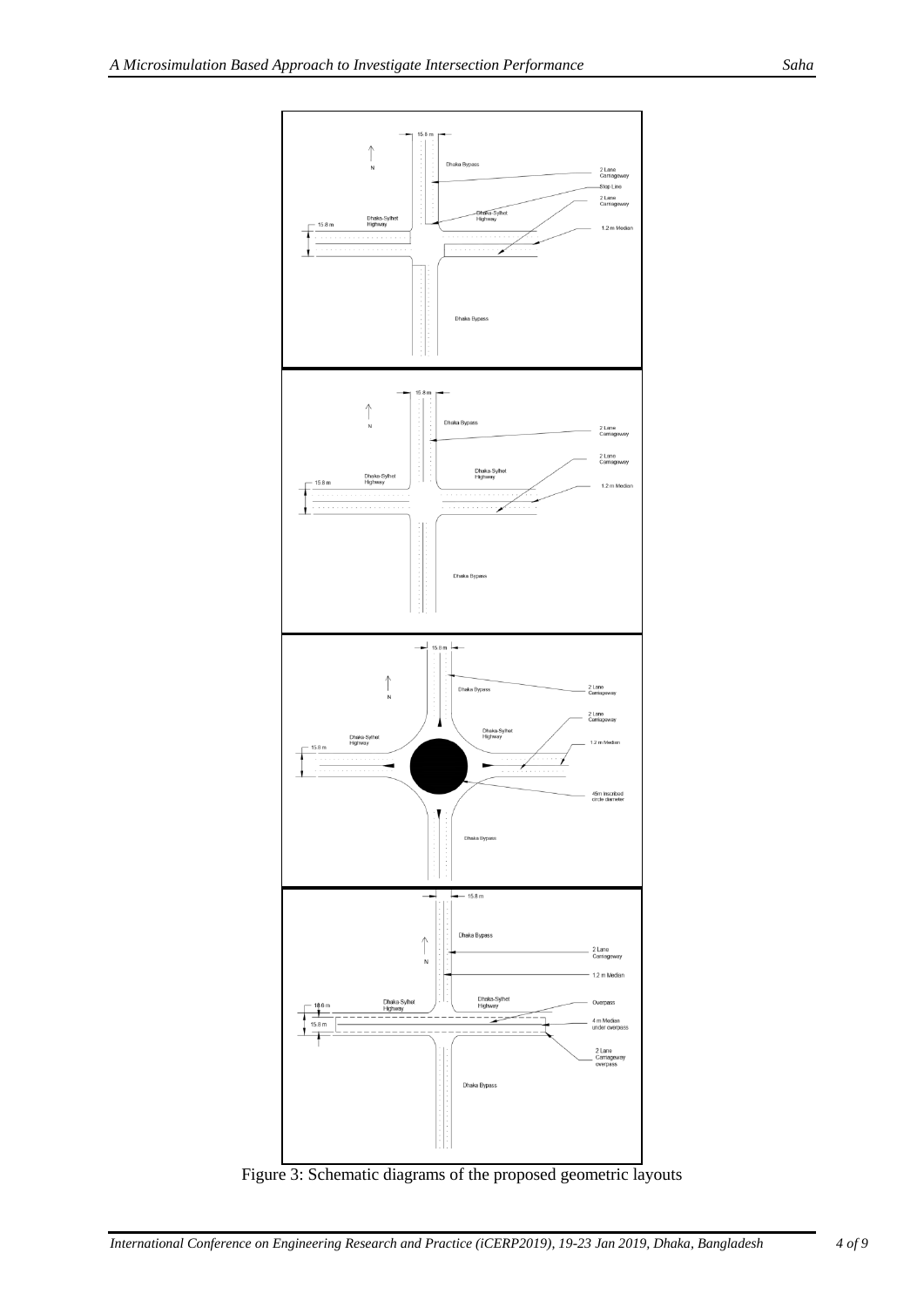

Figure 3: Schematic diagrams of the proposed geometric layouts

*International Conference on Engineering Research and Practice (iCERP2019), 19-23 Jan 2019, Dhaka, Bangladesh 4 of 9*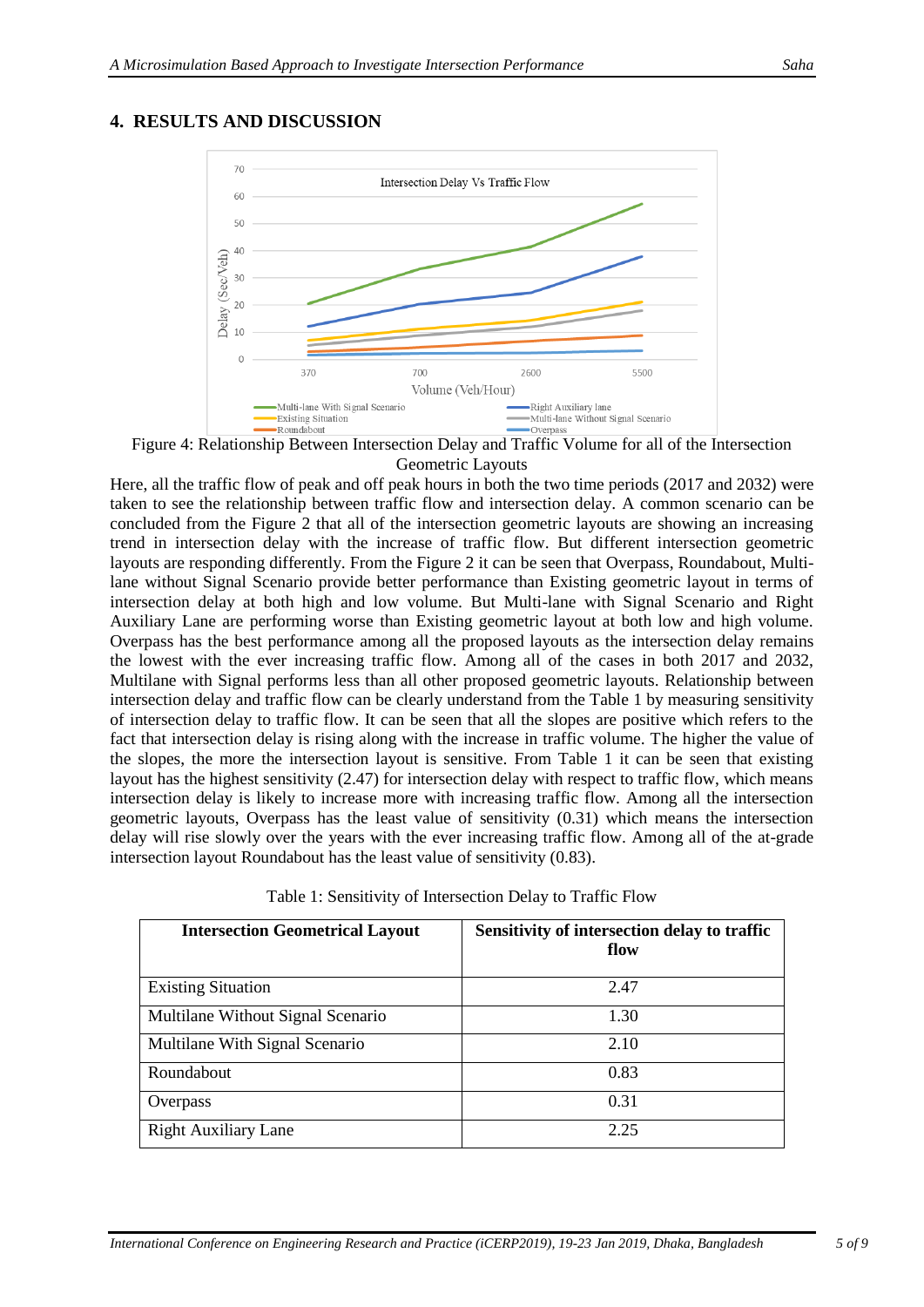# **4. RESULTS AND DISCUSSION**



Figure 4: Relationship Between Intersection Delay and Traffic Volume for all of the Intersection Geometric Layouts

Here, all the traffic flow of peak and off peak hours in both the two time periods (2017 and 2032) were taken to see the relationship between traffic flow and intersection delay. A common scenario can be concluded from the Figure 2 that all of the intersection geometric layouts are showing an increasing trend in intersection delay with the increase of traffic flow. But different intersection geometric layouts are responding differently. From the Figure 2 it can be seen that Overpass, Roundabout, Multilane without Signal Scenario provide better performance than Existing geometric layout in terms of intersection delay at both high and low volume. But Multi-lane with Signal Scenario and Right Auxiliary Lane are performing worse than Existing geometric layout at both low and high volume. Overpass has the best performance among all the proposed layouts as the intersection delay remains the lowest with the ever increasing traffic flow. Among all of the cases in both 2017 and 2032, Multilane with Signal performs less than all other proposed geometric layouts. Relationship between intersection delay and traffic flow can be clearly understand from the Table 1 by measuring sensitivity of intersection delay to traffic flow. It can be seen that all the slopes are positive which refers to the fact that intersection delay is rising along with the increase in traffic volume. The higher the value of the slopes, the more the intersection layout is sensitive. From Table 1 it can be seen that existing layout has the highest sensitivity (2.47) for intersection delay with respect to traffic flow, which means intersection delay is likely to increase more with increasing traffic flow. Among all the intersection geometric layouts, Overpass has the least value of sensitivity (0.31) which means the intersection delay will rise slowly over the years with the ever increasing traffic flow. Among all of the at-grade intersection layout Roundabout has the least value of sensitivity (0.83).

Table 1: Sensitivity of Intersection Delay to Traffic Flow

| <b>Intersection Geometrical Layout</b> | Sensitivity of intersection delay to traffic<br>flow |
|----------------------------------------|------------------------------------------------------|
| <b>Existing Situation</b>              | 2.47                                                 |
| Multilane Without Signal Scenario      | 1.30                                                 |
| Multilane With Signal Scenario         | 2.10                                                 |
| Roundabout                             | 0.83                                                 |
| Overpass                               | 0.31                                                 |
| <b>Right Auxiliary Lane</b>            | 2.25                                                 |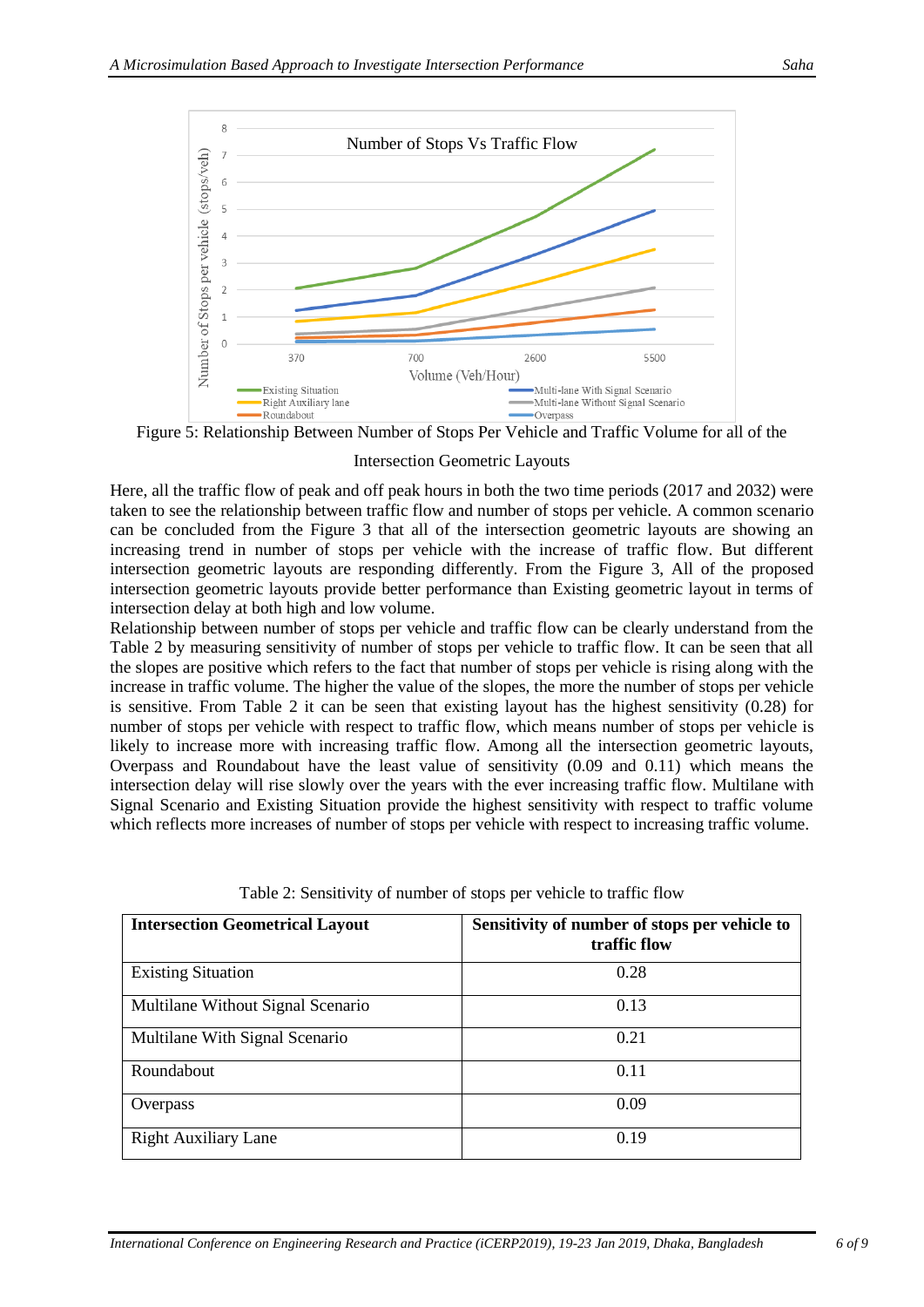

Figure 5: Relationship Between Number of Stops Per Vehicle and Traffic Volume for all of the

#### Intersection Geometric Layouts

Here, all the traffic flow of peak and off peak hours in both the two time periods (2017 and 2032) were taken to see the relationship between traffic flow and number of stops per vehicle. A common scenario can be concluded from the Figure 3 that all of the intersection geometric layouts are showing an increasing trend in number of stops per vehicle with the increase of traffic flow. But different intersection geometric layouts are responding differently. From the Figure 3, All of the proposed intersection geometric layouts provide better performance than Existing geometric layout in terms of intersection delay at both high and low volume.

Relationship between number of stops per vehicle and traffic flow can be clearly understand from the Table 2 by measuring sensitivity of number of stops per vehicle to traffic flow. It can be seen that all the slopes are positive which refers to the fact that number of stops per vehicle is rising along with the increase in traffic volume. The higher the value of the slopes, the more the number of stops per vehicle is sensitive. From Table 2 it can be seen that existing layout has the highest sensitivity (0.28) for number of stops per vehicle with respect to traffic flow, which means number of stops per vehicle is likely to increase more with increasing traffic flow. Among all the intersection geometric layouts, Overpass and Roundabout have the least value of sensitivity (0.09 and 0.11) which means the intersection delay will rise slowly over the years with the ever increasing traffic flow. Multilane with Signal Scenario and Existing Situation provide the highest sensitivity with respect to traffic volume which reflects more increases of number of stops per vehicle with respect to increasing traffic volume.

| <b>Intersection Geometrical Layout</b> | Sensitivity of number of stops per vehicle to<br>traffic flow |
|----------------------------------------|---------------------------------------------------------------|
| <b>Existing Situation</b>              | 0.28                                                          |
| Multilane Without Signal Scenario      | 0.13                                                          |
| Multilane With Signal Scenario         | 0.21                                                          |
| Roundabout                             | 0.11                                                          |
| Overpass                               | 0.09                                                          |
| <b>Right Auxiliary Lane</b>            | 0.19                                                          |

Table 2: Sensitivity of number of stops per vehicle to traffic flow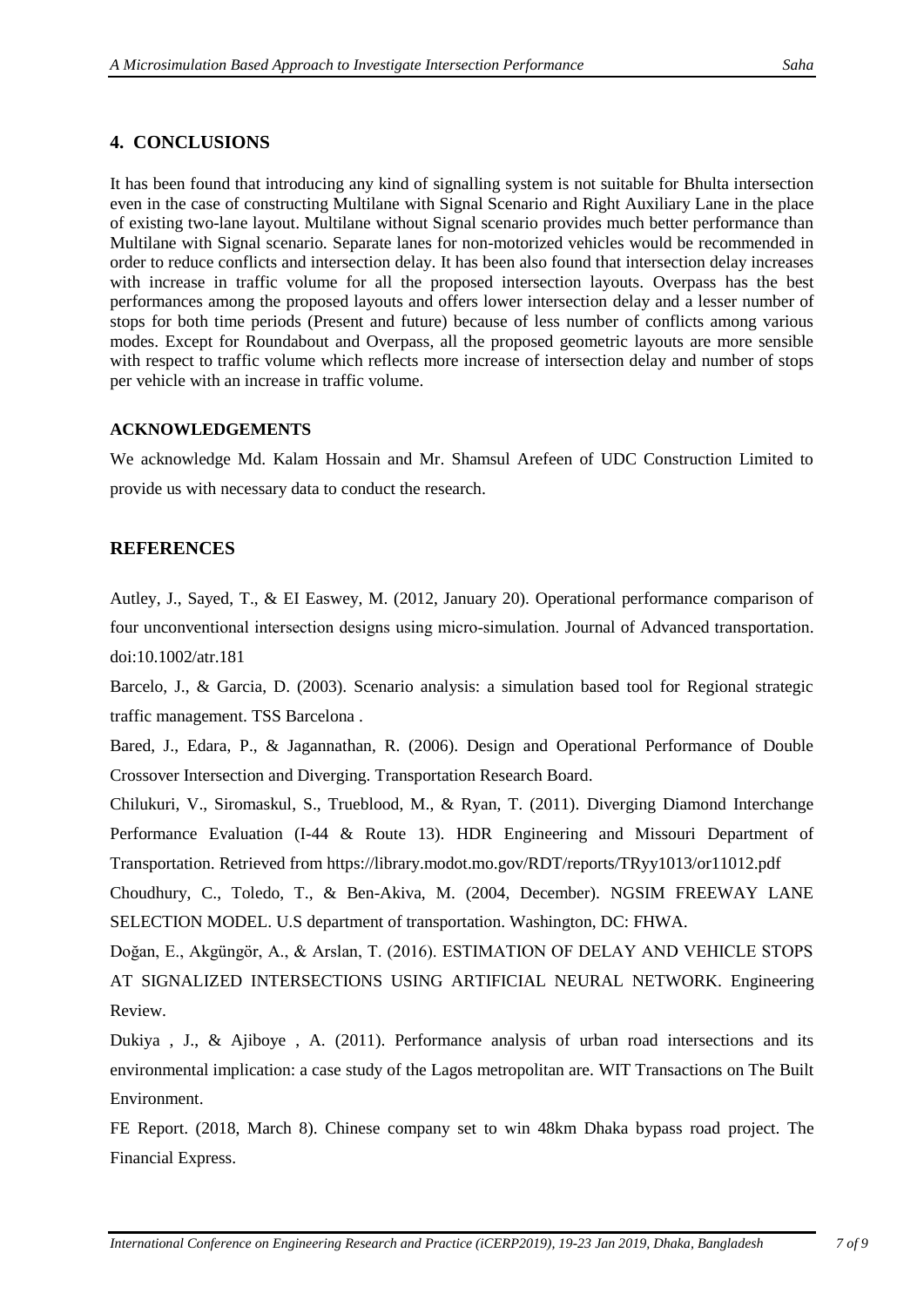## **4. CONCLUSIONS**

It has been found that introducing any kind of signalling system is not suitable for Bhulta intersection even in the case of constructing Multilane with Signal Scenario and Right Auxiliary Lane in the place of existing two-lane layout. Multilane without Signal scenario provides much better performance than Multilane with Signal scenario. Separate lanes for non-motorized vehicles would be recommended in order to reduce conflicts and intersection delay. It has been also found that intersection delay increases with increase in traffic volume for all the proposed intersection layouts. Overpass has the best performances among the proposed layouts and offers lower intersection delay and a lesser number of stops for both time periods (Present and future) because of less number of conflicts among various modes. Except for Roundabout and Overpass, all the proposed geometric layouts are more sensible with respect to traffic volume which reflects more increase of intersection delay and number of stops per vehicle with an increase in traffic volume.

## **ACKNOWLEDGEMENTS**

We acknowledge Md. Kalam Hossain and Mr. Shamsul Arefeen of UDC Construction Limited to provide us with necessary data to conduct the research.

## **REFERENCES**

Autley, J., Sayed, T., & EI Easwey, M. (2012, January 20). Operational performance comparison of four unconventional intersection designs using micro-simulation. Journal of Advanced transportation. doi:10.1002/atr.181

Barcelo, J., & Garcia, D. (2003). Scenario analysis: a simulation based tool for Regional strategic traffic management. TSS Barcelona .

Bared, J., Edara, P., & Jagannathan, R. (2006). Design and Operational Performance of Double Crossover Intersection and Diverging. Transportation Research Board.

Chilukuri, V., Siromaskul, S., Trueblood, M., & Ryan, T. (2011). Diverging Diamond Interchange Performance Evaluation (I-44 & Route 13). HDR Engineering and Missouri Department of Transportation. Retrieved from https://library.modot.mo.gov/RDT/reports/TRyy1013/or11012.pdf

Choudhury, C., Toledo, T., & Ben-Akiva, M. (2004, December). NGSIM FREEWAY LANE SELECTION MODEL. U.S department of transportation. Washington, DC: FHWA.

Doğan, E., Akgüngör, A., & Arslan, T. (2016). ESTIMATION OF DELAY AND VEHICLE STOPS AT SIGNALIZED INTERSECTIONS USING ARTIFICIAL NEURAL NETWORK. Engineering Review.

Dukiya , J., & Ajiboye , A. (2011). Performance analysis of urban road intersections and its environmental implication: a case study of the Lagos metropolitan are. WIT Transactions on The Built Environment.

FE Report. (2018, March 8). Chinese company set to win 48km Dhaka bypass road project. The Financial Express.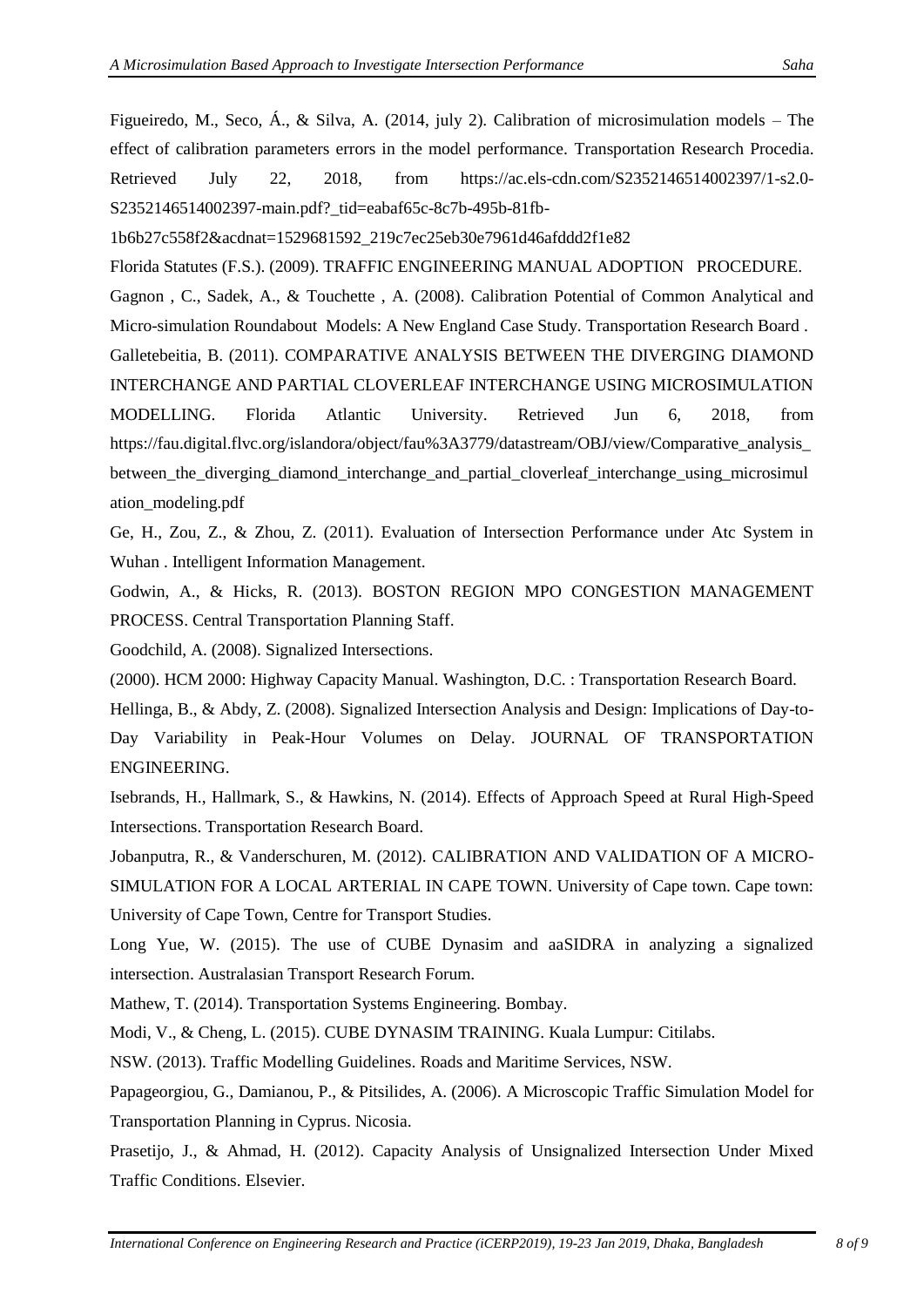Figueiredo, M., Seco, Á., & Silva, A. (2014, july 2). Calibration of microsimulation models – The effect of calibration parameters errors in the model performance. Transportation Research Procedia. Retrieved July 22, 2018, from https://ac.els-cdn.com/S2352146514002397/1-s2.0- S2352146514002397-main.pdf?\_tid=eabaf65c-8c7b-495b-81fb-

1b6b27c558f2&acdnat=1529681592\_219c7ec25eb30e7961d46afddd2f1e82

Florida Statutes (F.S.). (2009). TRAFFIC ENGINEERING MANUAL ADOPTION PROCEDURE.

Gagnon , C., Sadek, A., & Touchette , A. (2008). Calibration Potential of Common Analytical and Micro-simulation Roundabout Models: A New England Case Study. Transportation Research Board .

Galletebeitia, B. (2011). COMPARATIVE ANALYSIS BETWEEN THE DIVERGING DIAMOND INTERCHANGE AND PARTIAL CLOVERLEAF INTERCHANGE USING MICROSIMULATION MODELLING. Florida Atlantic University. Retrieved Jun 6, 2018, from https://fau.digital.flvc.org/islandora/object/fau%3A3779/datastream/OBJ/view/Comparative\_analysis\_ between\_the\_diverging\_diamond\_interchange\_and\_partial\_cloverleaf\_interchange\_using\_microsimul ation\_modeling.pdf

Ge, H., Zou, Z., & Zhou, Z. (2011). Evaluation of Intersection Performance under Atc System in Wuhan . Intelligent Information Management.

Godwin, A., & Hicks, R. (2013). BOSTON REGION MPO CONGESTION MANAGEMENT PROCESS. Central Transportation Planning Staff.

Goodchild, A. (2008). Signalized Intersections.

(2000). HCM 2000: Highway Capacity Manual. Washington, D.C. : Transportation Research Board.

Hellinga, B., & Abdy, Z. (2008). Signalized Intersection Analysis and Design: Implications of Day-to-Day Variability in Peak-Hour Volumes on Delay. JOURNAL OF TRANSPORTATION ENGINEERING.

Isebrands, H., Hallmark, S., & Hawkins, N. (2014). Effects of Approach Speed at Rural High-Speed Intersections. Transportation Research Board.

Jobanputra, R., & Vanderschuren, M. (2012). CALIBRATION AND VALIDATION OF A MICRO-SIMULATION FOR A LOCAL ARTERIAL IN CAPE TOWN. University of Cape town. Cape town: University of Cape Town, Centre for Transport Studies.

Long Yue, W. (2015). The use of CUBE Dynasim and aaSIDRA in analyzing a signalized intersection. Australasian Transport Research Forum.

Mathew, T. (2014). Transportation Systems Engineering. Bombay.

Modi, V., & Cheng, L. (2015). CUBE DYNASIM TRAINING. Kuala Lumpur: Citilabs.

NSW. (2013). Traffic Modelling Guidelines. Roads and Maritime Services, NSW.

Papageorgiou, G., Damianou, P., & Pitsilides, A. (2006). A Microscopic Traffic Simulation Model for Transportation Planning in Cyprus. Nicosia.

Prasetijo, J., & Ahmad, H. (2012). Capacity Analysis of Unsignalized Intersection Under Mixed Traffic Conditions. Elsevier.